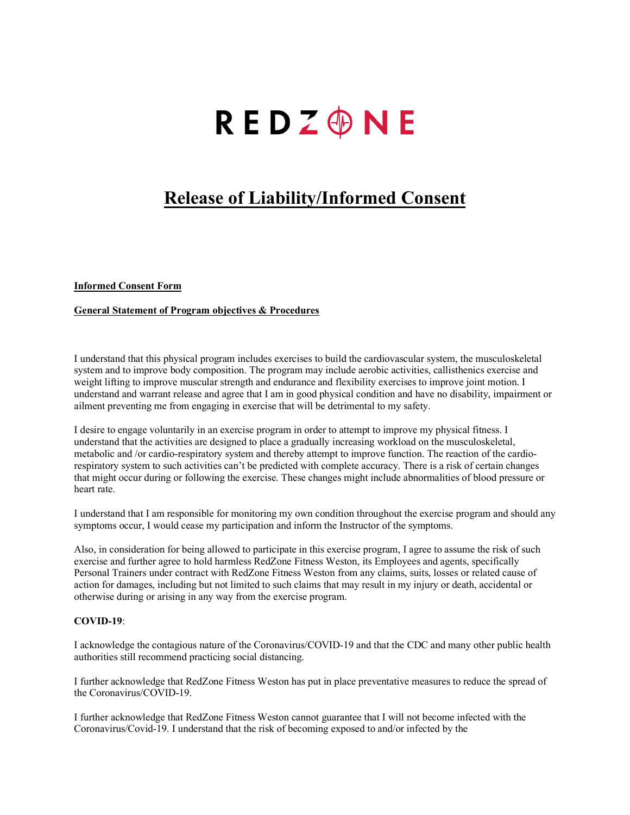# **REDZ®NE**

## **Release of Liability/Informed Consent**

### **Informed Consent Form**

#### **General Statement of Program objectives & Procedures**

I understand that this physical program includes exercises to build the cardiovascular system, the musculoskeletal system and to improve body composition. The program may include aerobic activities, callisthenics exercise and weight lifting to improve muscular strength and endurance and flexibility exercises to improve joint motion. I understand and warrant release and agree that I am in good physical condition and have no disability, impairment or ailment preventing me from engaging in exercise that will be detrimental to my safety.

I desire to engage voluntarily in an exercise program in order to attempt to improve my physical fitness. I understand that the activities are designed to place a gradually increasing workload on the musculoskeletal, metabolic and /or cardio-respiratory system and thereby attempt to improve function. The reaction of the cardiorespiratory system to such activities can't be predicted with complete accuracy. There is a risk of certain changes that might occur during or following the exercise. These changes might include abnormalities of blood pressure or heart rate.

I understand that I am responsible for monitoring my own condition throughout the exercise program and should any symptoms occur, I would cease my participation and inform the Instructor of the symptoms.

Also, in consideration for being allowed to participate in this exercise program, I agree to assume the risk of such exercise and further agree to hold harmless RedZone Fitness Weston, its Employees and agents, specifically Personal Trainers under contract with RedZone Fitness Weston from any claims, suits, losses or related cause of action for damages, including but not limited to such claims that may result in my injury or death, accidental or otherwise during or arising in any way from the exercise program.

### **COVID-19**:

I acknowledge the contagious nature of the Coronavirus/COVID-19 and that the CDC and many other public health authorities still recommend practicing social distancing.

I further acknowledge that RedZone Fitness Weston has put in place preventative measures to reduce the spread of the Coronavirus/COVID-19.

I further acknowledge that RedZone Fitness Weston cannot guarantee that I will not become infected with the Coronavirus/Covid-19. I understand that the risk of becoming exposed to and/or infected by the